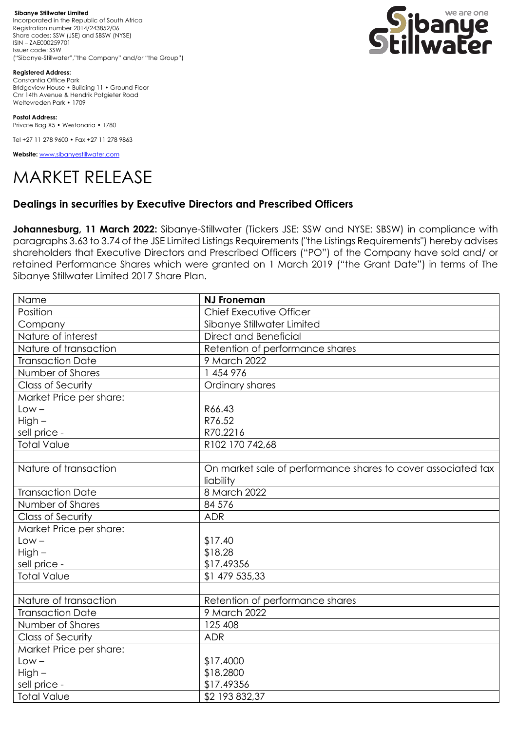**Sibanye Stillwater Limited**  Incorporated in the Republic of South Africa Registration number 2014/243852/06 Share codes: SSW (JSE) and SBSW (NYSE) ISIN – ZAE000259701 Issuer code: SSW ("Sibanye-Stillwater","the Company" and/or "the Group")



**Registered Address:** Constantia Office Park Bridgeview House • Building 11 • Ground Floor Cnr 14th Avenue & Hendrik Potgieter Road Weltevreden Park • 1709

**Postal Address:** Private Bag X5 • Westonaria • 1780

Tel +27 11 278 9600 • Fax +27 11 278 9863

**Website:** [www.sibanyestillwater.com](http://www.sibanyestillwater.com/)



## **Dealings in securities by Executive Directors and Prescribed Officers**

**Johannesburg, 11 March 2022:** Sibanye-Stillwater (Tickers JSE: SSW and NYSE: SBSW) in compliance with paragraphs 3.63 to 3.74 of the JSE Limited Listings Requirements ("the Listings Requirements") hereby advises shareholders that Executive Directors and Prescribed Officers ("PO") of the Company have sold and/ or retained Performance Shares which were granted on 1 March 2019 ("the Grant Date") in terms of The Sibanye Stillwater Limited 2017 Share Plan.

| Name                     | <b>NJ Froneman</b>                                           |
|--------------------------|--------------------------------------------------------------|
| Position                 | Chief Executive Officer                                      |
| Company                  | Sibanye Stillwater Limited                                   |
| Nature of interest       | Direct and Beneficial                                        |
| Nature of transaction    | Retention of performance shares                              |
| <b>Transaction Date</b>  | 9 March 2022                                                 |
| Number of Shares         | 1 454 976                                                    |
| <b>Class of Security</b> | Ordinary shares                                              |
| Market Price per share:  |                                                              |
| $Low -$                  | R66.43                                                       |
| High-                    | R76.52                                                       |
| sell price -             | R70.2216                                                     |
| <b>Total Value</b>       | R102 170 742,68                                              |
|                          |                                                              |
| Nature of transaction    | On market sale of performance shares to cover associated tax |
|                          | liability                                                    |
| <b>Transaction Date</b>  | 8 March 2022                                                 |
| Number of Shares         | 84 576                                                       |
| <b>Class of Security</b> | <b>ADR</b>                                                   |
| Market Price per share:  |                                                              |
| $Low -$                  | \$17.40                                                      |
| $High -$                 | \$18.28                                                      |
| sell price -             | \$17.49356                                                   |
| <b>Total Value</b>       | \$1 479 535,33                                               |
|                          |                                                              |
| Nature of transaction    | Retention of performance shares                              |
| <b>Transaction Date</b>  | 9 March 2022                                                 |
| Number of Shares         | 125 408                                                      |
| <b>Class of Security</b> | <b>ADR</b>                                                   |
| Market Price per share:  |                                                              |
| $Low -$                  | \$17.4000                                                    |
| $High -$                 | \$18.2800                                                    |
| sell price -             | \$17.49356                                                   |
| <b>Total Value</b>       | \$2 193 832,37                                               |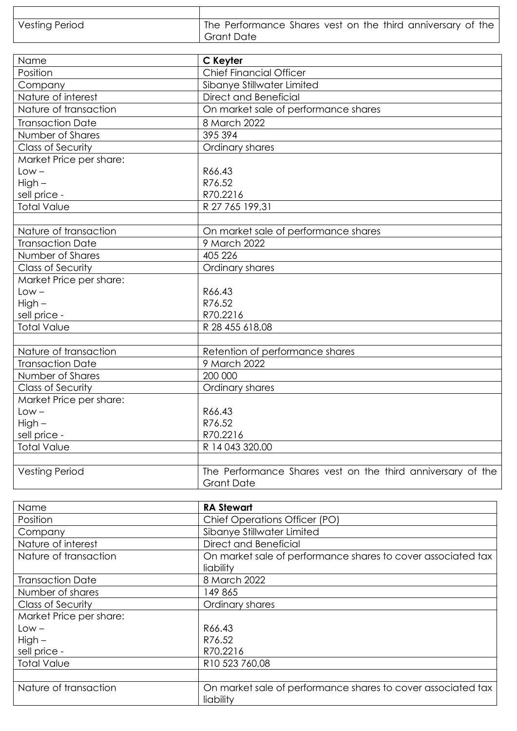| Vesting Period | The Performance Shares vest on the third anniversary of the |
|----------------|-------------------------------------------------------------|
|                | <b>Grant Date</b>                                           |

| Name                     | C Keyter                                                                         |
|--------------------------|----------------------------------------------------------------------------------|
| Position                 | <b>Chief Financial Officer</b>                                                   |
| Company                  | Sibanye Stillwater Limited                                                       |
| Nature of interest       | Direct and Beneficial                                                            |
| Nature of transaction    | On market sale of performance shares                                             |
| <b>Transaction Date</b>  | 8 March 2022                                                                     |
| Number of Shares         | 395 394                                                                          |
| <b>Class of Security</b> | Ordinary shares                                                                  |
| Market Price per share:  |                                                                                  |
| $Low -$                  | R66.43                                                                           |
| $High -$                 | R76.52                                                                           |
| sell price -             | R70.2216                                                                         |
| <b>Total Value</b>       | R 27 765 199.31                                                                  |
|                          |                                                                                  |
| Nature of transaction    | On market sale of performance shares                                             |
| <b>Transaction Date</b>  | 9 March 2022                                                                     |
| Number of Shares         | 405 226                                                                          |
| <b>Class of Security</b> | Ordinary shares                                                                  |
| Market Price per share:  |                                                                                  |
| $Low -$                  | R66.43                                                                           |
| $High -$                 | R76.52                                                                           |
| sell price -             | R70.2216                                                                         |
| <b>Total Value</b>       | R 28 455 618,08                                                                  |
|                          |                                                                                  |
| Nature of transaction    | Retention of performance shares                                                  |
| <b>Transaction Date</b>  | 9 March 2022                                                                     |
| Number of Shares         | 200 000                                                                          |
| <b>Class of Security</b> | Ordinary shares                                                                  |
| Market Price per share:  |                                                                                  |
| $Low -$                  | R66.43                                                                           |
| $High -$                 | R76.52                                                                           |
| sell price -             | R70.2216                                                                         |
| <b>Total Value</b>       | R 14 043 320.00                                                                  |
|                          |                                                                                  |
| <b>Vesting Period</b>    | The Performance Shares vest on the third anniversary of the<br><b>Grant Date</b> |

| Name                     | <b>RA Stewart</b>                                                         |
|--------------------------|---------------------------------------------------------------------------|
| Position                 | Chief Operations Officer (PO)                                             |
| Company                  | Sibanye Stillwater Limited                                                |
| Nature of interest       | Direct and Beneficial                                                     |
| Nature of transaction    | On market sale of performance shares to cover associated tax              |
|                          | liability                                                                 |
| <b>Transaction Date</b>  | 8 March 2022                                                              |
| Number of shares         | 149 865                                                                   |
| <b>Class of Security</b> | Ordinary shares                                                           |
| Market Price per share:  |                                                                           |
| $Low -$                  | R66.43                                                                    |
| $High -$                 | R76.52                                                                    |
| sell price -             | R70.2216                                                                  |
| <b>Total Value</b>       | R <sub>10</sub> 523 760,08                                                |
|                          |                                                                           |
| Nature of transaction    | On market sale of performance shares to cover associated tax<br>liability |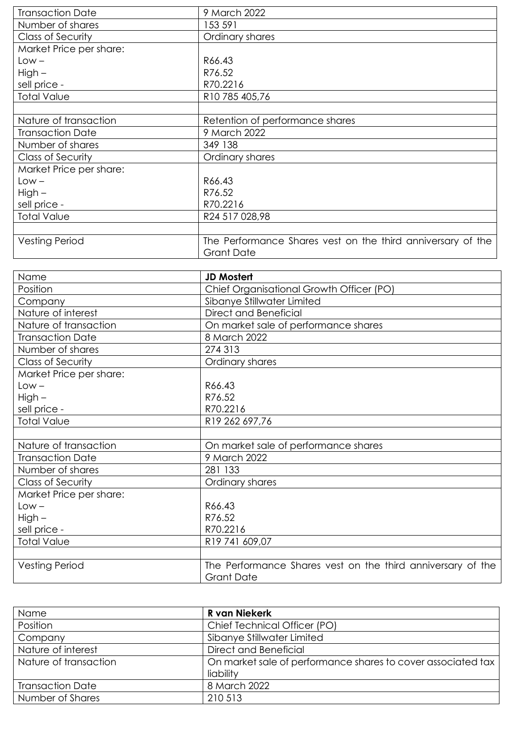| <b>Transaction Date</b>  | 9 March 2022                                                                     |
|--------------------------|----------------------------------------------------------------------------------|
| Number of shares         | 153 591                                                                          |
| <b>Class of Security</b> | Ordinary shares                                                                  |
| Market Price per share:  |                                                                                  |
| $Low -$                  | R66.43                                                                           |
| $High -$                 | R76.52                                                                           |
| sell price -             | R70.2216                                                                         |
| <b>Total Value</b>       | R10 785 405,76                                                                   |
|                          |                                                                                  |
| Nature of transaction    | Retention of performance shares                                                  |
| <b>Transaction Date</b>  | 9 March 2022                                                                     |
| Number of shares         | 349 138                                                                          |
| <b>Class of Security</b> | Ordinary shares                                                                  |
| Market Price per share:  |                                                                                  |
| $Low -$                  | R66.43                                                                           |
| $High -$                 | R76.52                                                                           |
| sell price -             | R70.2216                                                                         |
| <b>Total Value</b>       | R24 517 028,98                                                                   |
|                          |                                                                                  |
| <b>Vesting Period</b>    | The Performance Shares vest on the third anniversary of the<br><b>Grant Date</b> |

| Name                     | <b>JD Mostert</b>                                                                |
|--------------------------|----------------------------------------------------------------------------------|
| Position                 | Chief Organisational Growth Officer (PO)                                         |
| Company                  | Sibanye Stillwater Limited                                                       |
| Nature of interest       | Direct and Beneficial                                                            |
| Nature of transaction    | On market sale of performance shares                                             |
| <b>Transaction Date</b>  | 8 March 2022                                                                     |
| Number of shares         | 274 313                                                                          |
| Class of Security        | Ordinary shares                                                                  |
| Market Price per share:  |                                                                                  |
| $Low -$                  | R66.43                                                                           |
| $High -$                 | R76.52                                                                           |
| sell price -             | R70.2216                                                                         |
| <b>Total Value</b>       | R19 262 697,76                                                                   |
|                          |                                                                                  |
| Nature of transaction    | On market sale of performance shares                                             |
| <b>Transaction Date</b>  | 9 March 2022                                                                     |
| Number of shares         | 281 133                                                                          |
| <b>Class of Security</b> | Ordinary shares                                                                  |
| Market Price per share:  |                                                                                  |
| $Low -$                  | R66.43                                                                           |
| $High -$                 | R76.52                                                                           |
| sell price -             | R70.2216                                                                         |
| <b>Total Value</b>       | R19 741 609,07                                                                   |
|                          |                                                                                  |
| <b>Vesting Period</b>    | The Performance Shares vest on the third anniversary of the<br><b>Grant Date</b> |

| Name                    | R van Niekerk                                                |
|-------------------------|--------------------------------------------------------------|
| Position                | Chief Technical Officer (PO)                                 |
| Company                 | Sibanye Stillwater Limited                                   |
| Nature of interest      | Direct and Beneficial                                        |
| Nature of transaction   | On market sale of performance shares to cover associated tax |
|                         | liability                                                    |
| <b>Transaction Date</b> | 8 March 2022                                                 |
| Number of Shares        | 210 513                                                      |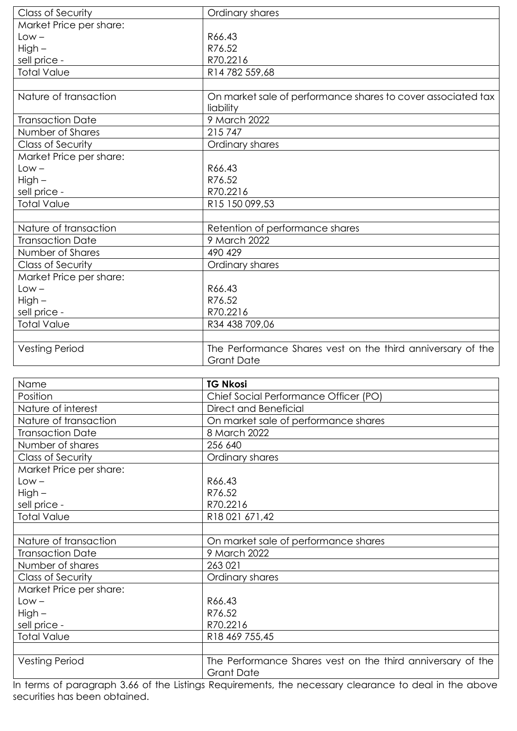| <b>Class of Security</b> | Ordinary shares                                                           |
|--------------------------|---------------------------------------------------------------------------|
| Market Price per share:  |                                                                           |
| $Low -$                  | R66.43                                                                    |
| High-                    | R76.52                                                                    |
| sell price -             | R70.2216                                                                  |
| <b>Total Value</b>       | R14 782 559,68                                                            |
|                          |                                                                           |
| Nature of transaction    | On market sale of performance shares to cover associated tax<br>liability |
| <b>Transaction Date</b>  | 9 March 2022                                                              |
| Number of Shares         | 215747                                                                    |
| Class of Security        | Ordinary shares                                                           |
| Market Price per share:  |                                                                           |
| $Low -$                  | R66.43                                                                    |
| High-                    | R76.52                                                                    |
| sell price -             | R70.2216                                                                  |
| <b>Total Value</b>       | R15 150 099,53                                                            |
|                          |                                                                           |
| Nature of transaction    | Retention of performance shares                                           |
| <b>Transaction Date</b>  | 9 March 2022                                                              |
| Number of Shares         | 490 429                                                                   |
| Class of Security        | Ordinary shares                                                           |
| Market Price per share:  |                                                                           |
| $Low -$                  | R66.43                                                                    |
| High -                   | R76.52                                                                    |
| sell price -             | R70.2216                                                                  |
| <b>Total Value</b>       | R34 438 709,06                                                            |
|                          |                                                                           |
| <b>Vesting Period</b>    | The Performance Shares vest on the third anniversary of the               |
|                          | <b>Grant Date</b>                                                         |

| Name                    | <b>TG Nkosi</b>                                                                  |
|-------------------------|----------------------------------------------------------------------------------|
| Position                | Chief Social Performance Officer (PO)                                            |
| Nature of interest      | Direct and Beneficial                                                            |
| Nature of transaction   | On market sale of performance shares                                             |
| <b>Transaction Date</b> | 8 March 2022                                                                     |
| Number of shares        | 256 640                                                                          |
| Class of Security       | Ordinary shares                                                                  |
| Market Price per share: |                                                                                  |
| Low –                   | R66.43                                                                           |
| High-                   | R76.52                                                                           |
| sell price -            | R70.2216                                                                         |
| <b>Total Value</b>      | R18 021 671,42                                                                   |
|                         |                                                                                  |
| Nature of transaction   | On market sale of performance shares                                             |
| <b>Transaction Date</b> | 9 March 2022                                                                     |
| Number of shares        | 263 021                                                                          |
| Class of Security       | Ordinary shares                                                                  |
| Market Price per share: |                                                                                  |
| $Low -$                 | R66.43                                                                           |
| High-                   | R76.52                                                                           |
| sell price -            | R70.2216                                                                         |
| <b>Total Value</b>      | R18 469 755,45                                                                   |
|                         |                                                                                  |
| <b>Vesting Period</b>   | The Performance Shares vest on the third anniversary of the<br><b>Grant Date</b> |

In terms of paragraph 3.66 of the Listings Requirements, the necessary clearance to deal in the above securities has been obtained.